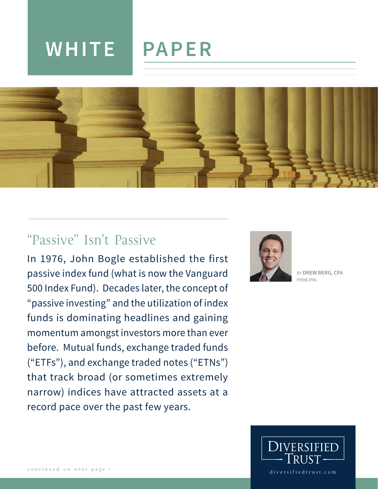# **WHITE PAPER**



## "Passive" Isn't Passive

In 1976, John Bogle established the first passive index fund (what is now the Vanguard 500 Index Fund). Decades later, the concept of "passive investing" and the utilization of index funds is dominating headlines and gaining momentum amongst investors more than ever before. Mutual funds, exchange traded funds ("ETFs"), and exchange traded notes ("ETNs") that track broad (or sometimes extremely narrow) indices have attracted assets at a record pace over the past few years.



BY **DREW BERG, CFA** PRINCIPAL

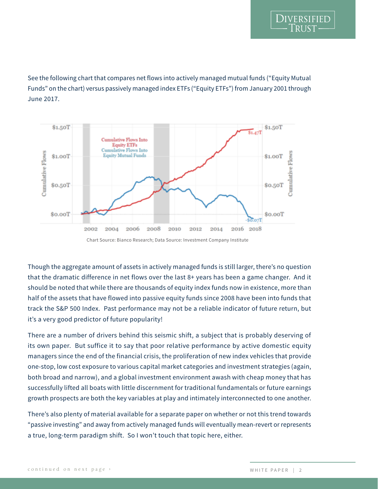

See the following chart that compares net flows into actively managed mutual funds ("Equity Mutual Funds" on the chart) versus passively managed index ETFs ("Equity ETFs") from January 2001 through June 2017.



Though the aggregate amount of assets in actively managed funds is still larger, there's no question that the dramatic difference in net flows over the last 8+ years has been a game changer. And it should be noted that while there are thousands of equity index funds now in existence, more than half of the assets that have flowed into passive equity funds since 2008 have been into funds that track the S&P 500 Index. Past performance may not be a reliable indicator of future return, but it's a very good predictor of future popularity!

There are a number of drivers behind this seismic shift, a subject that is probably deserving of its own paper. But suffice it to say that poor relative performance by active domestic equity managers since the end of the financial crisis, the proliferation of new index vehicles that provide one-stop, low cost exposure to various capital market categories and investment strategies (again, both broad and narrow), and a global investment environment awash with cheap money that has successfully lifted all boats with little discernment for traditional fundamentals or future earnings growth prospects are both the key variables at play and intimately interconnected to one another.

There's also plenty of material available for a separate paper on whether or not this trend towards "passive investing" and away from actively managed funds will eventually mean-revert or represents a true, long-term paradigm shift. So I won't touch that topic here, either.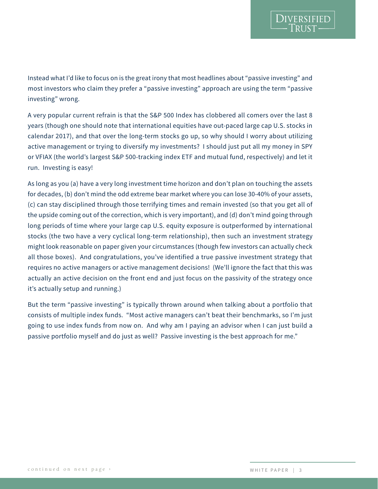Instead what I'd like to focus on is the great irony that most headlines about "passive investing" and most investors who claim they prefer a "passive investing" approach are using the term "passive investing" wrong.

A very popular current refrain is that the S&P 500 Index has clobbered all comers over the last 8 years (though one should note that international equities have out-paced large cap U.S. stocks in calendar 2017), and that over the long-term stocks go up, so why should I worry about utilizing active management or trying to diversify my investments? I should just put all my money in SPY or VFIAX (the world's largest S&P 500-tracking index ETF and mutual fund, respectively) and let it run. Investing is easy!

As long as you (a) have a very long investment time horizon and don't plan on touching the assets for decades, (b) don't mind the odd extreme bear market where you can lose 30-40% of your assets, (c) can stay disciplined through those terrifying times and remain invested (so that you get all of the upside coming out of the correction, which is very important), and (d) don't mind going through long periods of time where your large cap U.S. equity exposure is outperformed by international stocks (the two have a very cyclical long-term relationship), then such an investment strategy might look reasonable on paper given your circumstances (though few investors can actually check all those boxes). And congratulations, you've identified a true passive investment strategy that requires no active managers or active management decisions! (We'll ignore the fact that this was actually an active decision on the front end and just focus on the passivity of the strategy once it's actually setup and running.)

But the term "passive investing" is typically thrown around when talking about a portfolio that consists of multiple index funds. "Most active managers can't beat their benchmarks, so I'm just going to use index funds from now on. And why am I paying an advisor when I can just build a passive portfolio myself and do just as well? Passive investing is the best approach for me."

**DIVERSIFIED**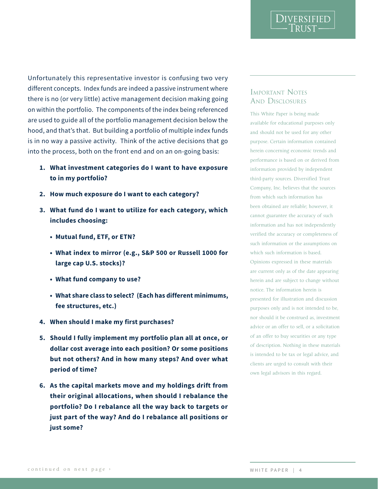Unfortunately this representative investor is confusing two very different concepts. Index funds are indeed a passive instrument where there is no (or very little) active management decision making going on within the portfolio. The components of the index being referenced are used to guide all of the portfolio management decision below the hood, and that's that. But building a portfolio of multiple index funds is in no way a passive activity. Think of the active decisions that go into the process, both on the front end and on an on-going basis:

- **1. What investment categories do I want to have exposure to in my portfolio?**
- **2. How much exposure do I want to each category?**
- **3. What fund do I want to utilize for each category, which includes choosing:**
	- **• Mutual fund, ETF, or ETN?**
	- **• What index to mirror (e.g., S&P 500 or Russell 1000 for large cap U.S. stocks)?**
	- **• What fund company to use?**
	- **• What share class to select? (Each has different minimums, fee structures, etc.)**
- **4. When should I make my first purchases?**
- **5. Should I fully implement my portfolio plan all at once, or dollar cost average into each position? Or some positions but not others? And in how many steps? And over what period of time?**
- **6. As the capital markets move and my holdings drift from their original allocations, when should I rebalance the portfolio? Do I rebalance all the way back to targets or just part of the way? And do I rebalance all positions or just some?**

#### Important Notes AND DISCLOSURES

DIVERSIFIED

This White Paper is being made available for educational purposes only and should not be used for any other purpose. Certain information contained herein concerning economic trends and performance is based on or derived from information provided by independent third-party sources. Diversified Trust Company, Inc. believes that the sources from which such information has been obtained are reliable; however, it cannot guarantee the accuracy of such information and has not independently verified the accuracy or completeness of such information or the assumptions on which such information is based. Opinions expressed in these materials are current only as of the date appearing herein and are subject to change without notice. The information herein is presented for illustration and discussion purposes only and is not intended to be, nor should it be construed as, investment advice or an offer to sell, or a solicitation of an offer to buy securities or any type of description. Nothing in these materials is intended to be tax or legal advice, and clients are urged to consult with their own legal advisors in this regard.